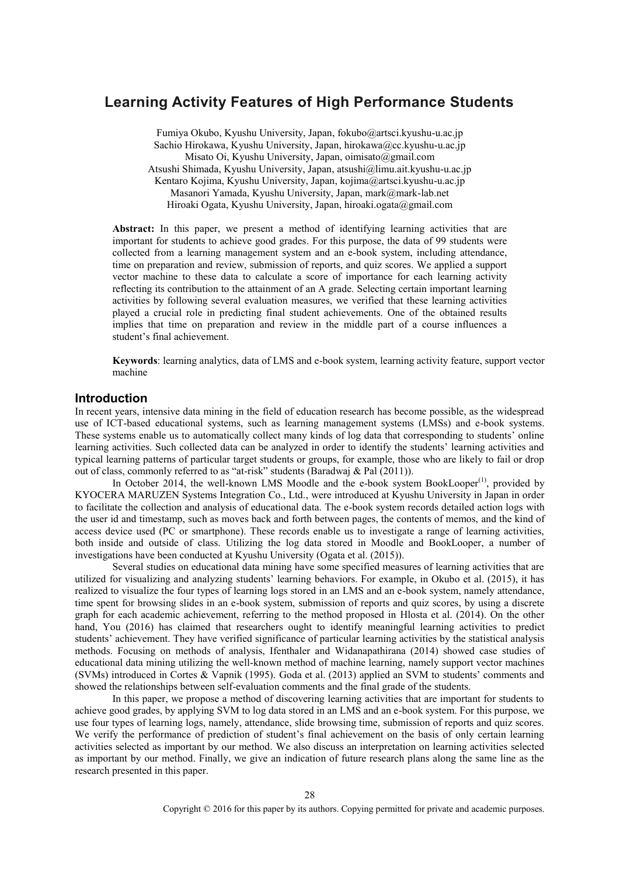# **Learning Activity Features of High Performance Students**

Fumiya Okubo, Kyushu University, Japan, fokubo@artsci.kyushu-u.ac.jp Sachio Hirokawa, Kyushu University, Japan, hirokawa@cc.kyushu-u.ac.jp Misato Oi, Kyushu University, Japan, oimisato@gmail.com Atsushi Shimada, Kyushu University, Japan, atsushi@limu.ait.kyushu-u.ac.jp Kentaro Kojima, Kyushu University, Japan, kojima@artsci.kyushu-u.ac.jp Masanori Yamada, Kyushu University, Japan, mark@mark-lab.net Hiroaki Ogata, Kyushu University, Japan, hiroaki.ogata@gmail.com

Abstract: In this paper, we present a method of identifying learning activities that are important for students to achieve good grades. For this purpose, the data of 99 students were collected from a learning management system and an e-book system, including attendance, time on preparation and review, submission of reports, and quiz scores. We applied a support vector machine to these data to calculate a score of importance for each learning activity reflecting its contribution to the attainment of an A grade. Selecting certain important learning activities by following several evaluation measures, we verified that these learning activities played a crucial role in predicting final student achievements. One of the obtained results implies that time on preparation and review in the middle part of a course influences a student's final achievement.

**Keywords**: learning analytics, data of LMS and e-book system, learning activity feature, support vector machine

# **Introduction**

In recent years, intensive data mining in the field of education research has become possible, as the widespread use of ICT-based educational systems, such as learning management systems (LMSs) and e-book systems. These systems enable us to automatically collect many kinds of log data that corresponding to students' online learning activities. Such collected data can be analyzed in order to identify the students' learning activities and typical learning patterns of particular target students or groups, for example, those who are likely to fail or drop out of class, commonly referred to as "at-risk" students (Baradwaj & Pal (2011)).

In October 2014, the well-known LMS Moodle and the e-book system BookLooper<sup>(1)</sup>, provided by KYOCERA MARUZEN Systems Integration Co., Ltd., were introduced at Kyushu University in Japan in order to facilitate the collection and analysis of educational data. The e-book system records detailed action logs with the user id and timestamp, such as moves back and forth between pages, the contents of memos, and the kind of access device used (PC or smartphone). These records enable us to investigate a range of learning activities, both inside and outside of class. Utilizing the log data stored in Moodle and BookLooper, a number of investigations have been conducted at Kyushu University (Ogata et al. (2015)).

Several studies on educational data mining have some specified measures of learning activities that are utilized for visualizing and analyzing students' learning behaviors. For example, in Okubo et al. (2015), it has realized to visualize the four types of learning logs stored in an LMS and an e-book system, namely attendance, time spent for browsing slides in an e-book system, submission of reports and quiz scores, by using a discrete graph for each academic achievement, referring to the method proposed in Hlosta et al. (2014). On the other hand, You (2016) has claimed that researchers ought to identify meaningful learning activities to predict students' achievement. They have verified significance of particular learning activities by the statistical analysis methods. Focusing on methods of analysis, Ifenthaler and Widanapathirana (2014) showed case studies of educational data mining utilizing the well-known method of machine learning, namely support vector machines (SVMs) introduced in Cortes & Vapnik (1995). Goda et al. (2013) applied an SVM to students' comments and showed the relationships between self-evaluation comments and the final grade of the students.

In this paper, we propose a method of discovering learning activities that are important for students to achieve good grades, by applying SVM to log data stored in an LMS and an e-book system. For this purpose, we use four types of learning logs, namely, attendance, slide browsing time, submission of reports and quiz scores. We verify the performance of prediction of student's final achievement on the basis of only certain learning activities selected as important by our method. We also discuss an interpretation on learning activities selected as important by our method. Finally, we give an indication of future research plans along the same line as the research presented in this paper.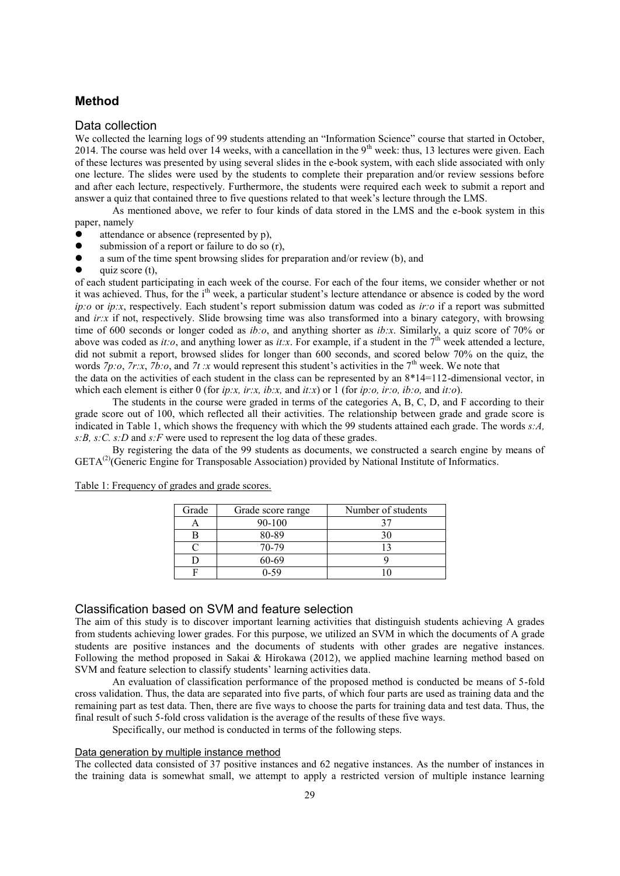# **Method**

#### Data collection

We collected the learning logs of 99 students attending an "Information Science" course that started in October, 2014. The course was held over 14 weeks, with a cancellation in the  $9<sup>th</sup>$  week: thus, 13 lectures were given. Each of these lectures was presented by using several slides in the e-book system, with each slide associated with only one lecture. The slides were used by the students to complete their preparation and/or review sessions before and after each lecture, respectively. Furthermore, the students were required each week to submit a report and answer a quiz that contained three to five questions related to that week's lecture through the LMS.

As mentioned above, we refer to four kinds of data stored in the LMS and the e-book system in this paper, namely

- attendance or absence (represented by p),
- submission of a report or failure to do so (r),
- a sum of the time spent browsing slides for preparation and/or review (b), and
- quiz score (t),

of each student participating in each week of the course. For each of the four items, we consider whether or not it was achieved. Thus, for the i<sup>th</sup> week, a particular student's lecture attendance or absence is coded by the word *ip:o* or *ip:x*, respectively. Each student's report submission datum was coded as *ir:o* if a report was submitted and *ir:x* if not, respectively. Slide browsing time was also transformed into a binary category, with browsing time of 600 seconds or longer coded as *ib:o*, and anything shorter as *ib:x*. Similarly, a quiz score of 70% or above was coded as *it:o*, and anything lower as *it:x*. For example, if a student in the  $7<sup>th</sup>$  week attended a lecture, did not submit a report, browsed slides for longer than 600 seconds, and scored below 70% on the quiz, the words  $7p$ :*o*,  $7r$ :*x*,  $7b$ :*o*, and  $7t$ :*x* would represent this student's activities in the  $7<sup>th</sup>$  week. We note that

the data on the activities of each student in the class can be represented by an 8\*14=112-dimensional vector, in which each element is either 0 (for *ip:x, ir:x, ib:x,* and *it:x*) or 1 (for *ip:o, ir:o, ib:o,* and *it:o*).

The students in the course were graded in terms of the categories A, B, C, D, and F according to their grade score out of 100, which reflected all their activities. The relationship between grade and grade score is indicated in Table 1, which shows the frequency with which the 99 students attained each grade. The words *s:A, s:B, s:C. s:D* and *s:F* were used to represent the log data of these grades.

By registering the data of the 99 students as documents, we constructed a search engine by means of  $GETA<sup>(2)</sup>(Generic Engine for Transposable Association) provided by National Institute of Informatics.$ 

| Grade | Grade score range | Number of students |
|-------|-------------------|--------------------|
|       | $90 - 100$        |                    |
|       | 80-89             | 30                 |
|       | 70-79             |                    |
|       | 60-69             |                    |
|       | 0.59              |                    |

Table 1: Frequency of grades and grade scores.

# Classification based on SVM and feature selection

The aim of this study is to discover important learning activities that distinguish students achieving A grades from students achieving lower grades. For this purpose, we utilized an SVM in which the documents of A grade students are positive instances and the documents of students with other grades are negative instances. Following the method proposed in Sakai & Hirokawa (2012), we applied machine learning method based on SVM and feature selection to classify students' learning activities data.

An evaluation of classification performance of the proposed method is conducted be means of 5-fold cross validation. Thus, the data are separated into five parts, of which four parts are used as training data and the remaining part as test data. Then, there are five ways to choose the parts for training data and test data. Thus, the final result of such 5-fold cross validation is the average of the results of these five ways.

Specifically, our method is conducted in terms of the following steps.

#### Data generation by multiple instance method

The collected data consisted of 37 positive instances and 62 negative instances. As the number of instances in the training data is somewhat small, we attempt to apply a restricted version of multiple instance learning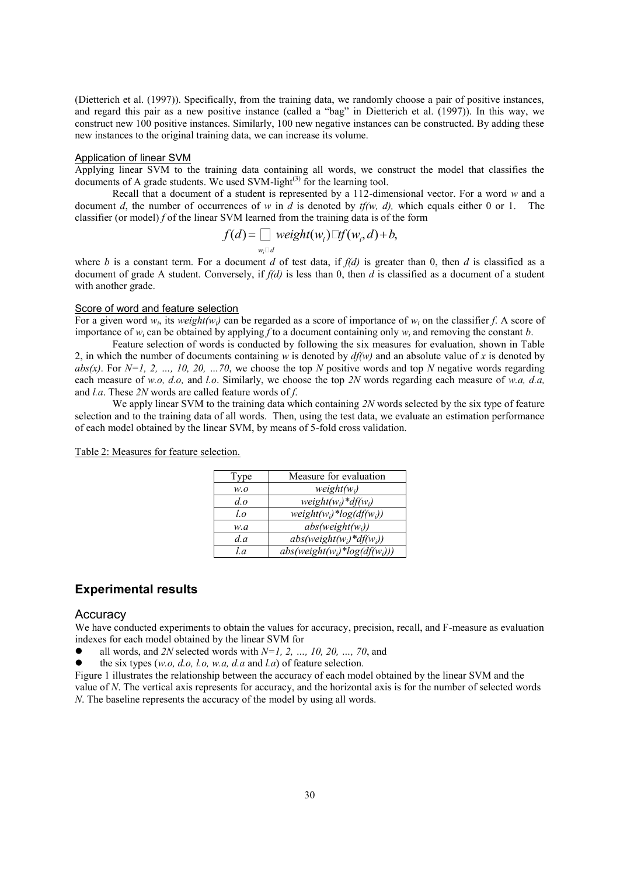(Dietterich et al. (1997)). Specifically, from the training data, we randomly choose a pair of positive instances, and regard this pair as a new positive instance (called a "bag" in Dietterich et al. (1997)). In this way, we construct new 100 positive instances. Similarly, 100 new negative instances can be constructed. By adding these new instances to the original training data, we can increase its volume.

# Application of linear SVM

Applying linear SVM to the training data containing all words, we construct the model that classifies the documents of A grade students. We used SVM-light<sup>(3)</sup> for the learning tool.

Recall that a document of a student is represented by a 112-dimensional vector. For a word *w* and a document *d*, the number of occurrences of *w* in *d* is denoted by *tf(w, d),* which equals either 0 or 1. The classifier (or model) *f* of the linear SVM learned from the training data is of the form

$$
f(d) = \mathop{\mathbf{a}}_{w_i} \underset{d}{\text{weight}(w_i)} \text{ 'tf}(w_i, d) + b,
$$

where *b* is a constant term. For a document *d* of test data, if  $f(d)$  is greater than 0, then *d* is classified as a document of grade A student. Conversely, if *f(d)* is less than 0, then *d* is classified as a document of a student with another grade.

#### Score of word and feature selection

For a given word  $w_i$ , its *weight(w<sub>i</sub>*) can be regarded as a score of importance of  $w_i$  on the classifier *f*. A score of importance of *w<sup>i</sup>* can be obtained by applying *f* to a document containing only *w<sup>i</sup>* and removing the constant *b*.

Feature selection of words is conducted by following the six measures for evaluation, shown in Table 2, in which the number of documents containing *w* is denoted by *df(w)* and an absolute value of *x* is denoted by *abs(x)*. For *N=1, 2, …, 10, 20, …70*, we choose the top *N* positive words and top *N* negative words regarding each measure of *w.o, d.o,* and *l.o*. Similarly, we choose the top *2N* words regarding each measure of *w.a, d.a,* and *l.a*. These *2N* words are called feature words of *f*.

We apply linear SVM to the training data which containing 2N words selected by the six type of feature selection and to the training data of all words. Then, using the test data, we evaluate an estimation performance of each model obtained by the linear SVM, by means of 5-fold cross validation.

| Type    | Measure for evaluation          |
|---------|---------------------------------|
| W.O     | $weight(w_i)$                   |
| $d\rho$ | $weight(w_i) * df(w_i)$         |
| l.o     | $weight(w_i)*log(df(w_i))$      |
| w.a     | $abs(weight(w_i))$              |
| d.a     | $abs(weight(w_i)*df(w_i))$      |
| l.a     | $abs(weight(w_i)*log(df(w_i)))$ |

Table 2: Measures for feature selection.

# **Experimental results**

#### **Accuracy**

We have conducted experiments to obtain the values for accuracy, precision, recall, and F-measure as evaluation indexes for each model obtained by the linear SVM for

all words, and *2N* selected words with *N=1, 2, …, 10, 20, …, 70*, and

the six types (*w.o, d.o, l.o, w.a, d.a* and *l.a*) of feature selection.

Figure 1 illustrates the relationship between the accuracy of each model obtained by the linear SVM and the value of *N*. The vertical axis represents for accuracy, and the horizontal axis is for the number of selected words *N*. The baseline represents the accuracy of the model by using all words.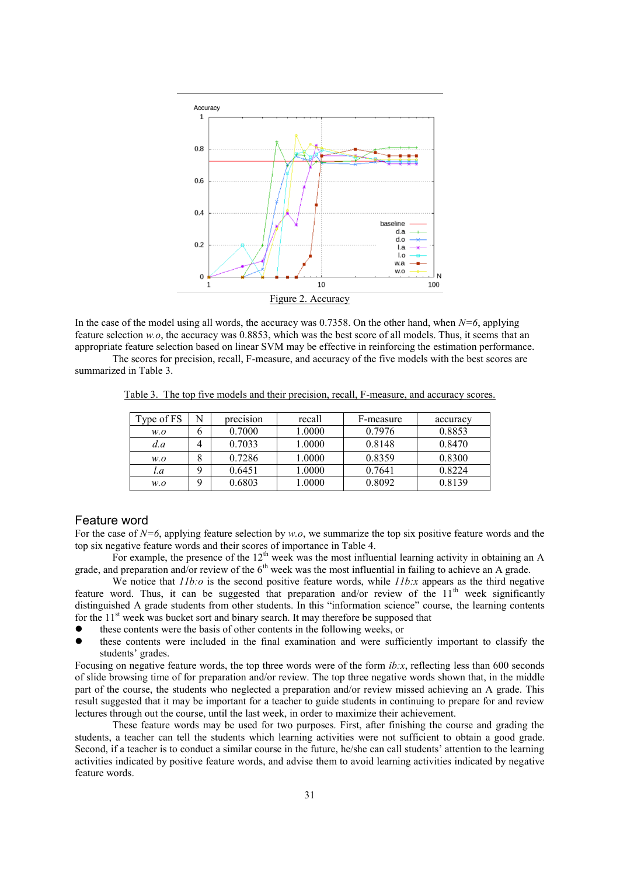

In the case of the model using all words, the accuracy was 0.7358. On the other hand, when *N=6*, applying feature selection *w.o*, the accuracy was 0.8853, which was the best score of all models. Thus, it seems that an appropriate feature selection based on linear SVM may be effective in reinforcing the estimation performance.

The scores for precision, recall, F-measure, and accuracy of the five models with the best scores are summarized in Table 3.

Table 3. The top five models and their precision, recall, F-measure, and accuracy scores.

| Type of FS | N        | precision | recall | F-measure | accuracy |
|------------|----------|-----------|--------|-----------|----------|
| w.o        | b        | 0.7000    | 1.0000 | 0.7976    | 0.8853   |
| d.a        | 4        | 0.7033    | 1.0000 | 0.8148    | 0.8470   |
| w.o        |          | 0.7286    | 1.0000 | 0.8359    | 0.8300   |
| l.a        | Q        | 0.6451    | 1.0000 | 0.7641    | 0.8224   |
| w.o        | $\Omega$ | 0.6803    | 1.0000 | 0.8092    | 0.8139   |

# Feature word

For the case of *N=6*, applying feature selection by *w.o*, we summarize the top six positive feature words and the top six negative feature words and their scores of importance in Table 4.

For example, the presence of the 12<sup>th</sup> week was the most influential learning activity in obtaining an A grade, and preparation and/or review of the  $6<sup>th</sup>$  week was the most influential in failing to achieve an A grade.

We notice that *11b:o* is the second positive feature words, while *11b:x* appears as the third negative feature word. Thus, it can be suggested that preparation and/or review of the  $11<sup>th</sup>$  week significantly distinguished A grade students from other students. In this "information science" course, the learning contents for the  $11<sup>st</sup>$  week was bucket sort and binary search. It may therefore be supposed that

- these contents were the basis of other contents in the following weeks, or
- these contents were included in the final examination and were sufficiently important to classify the students' grades.

Focusing on negative feature words, the top three words were of the form *ib:x*, reflecting less than 600 seconds of slide browsing time of for preparation and/or review. The top three negative words shown that, in the middle part of the course, the students who neglected a preparation and/or review missed achieving an A grade. This result suggested that it may be important for a teacher to guide students in continuing to prepare for and review lectures through out the course, until the last week, in order to maximize their achievement.

These feature words may be used for two purposes. First, after finishing the course and grading the students, a teacher can tell the students which learning activities were not sufficient to obtain a good grade. Second, if a teacher is to conduct a similar course in the future, he/she can call students' attention to the learning activities indicated by positive feature words, and advise them to avoid learning activities indicated by negative feature words.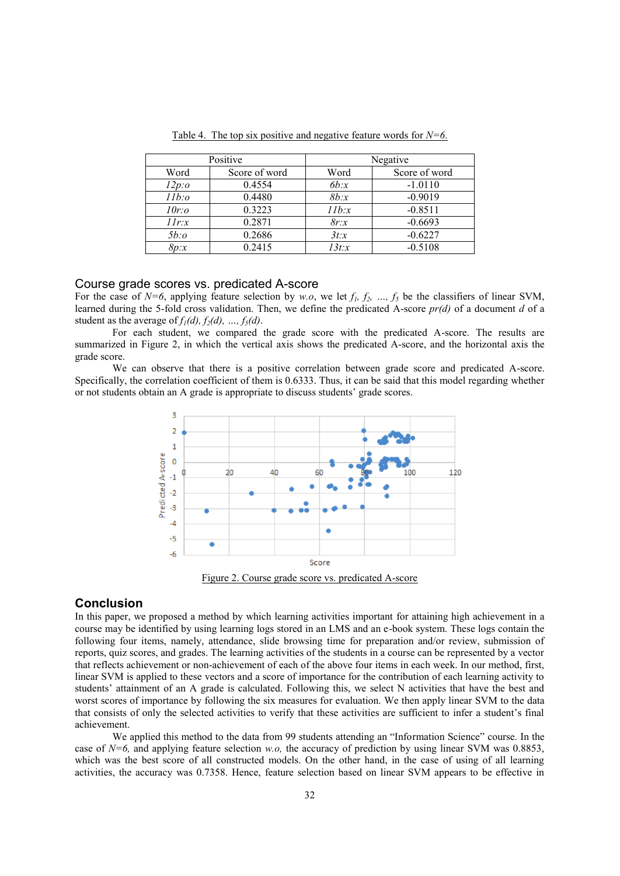| Positive    |               | Negative |               |  |
|-------------|---------------|----------|---------------|--|
| Word        | Score of word | Word     | Score of word |  |
| $12p$ :0    | 0.4554        | 6b:x     | $-1.0110$     |  |
| $11b$ :0    | 0.4480        | 8b:x     | $-0.9019$     |  |
| $10r$ :0    | 0.3223        | 11b:x    | $-0.8511$     |  |
| $I\,I\,r:x$ | 0.2871        | 8r:x     | $-0.6693$     |  |
| $5b$ :0     | 0.2686        | 3t:x     | $-0.6227$     |  |
| 8p:x        | 0.2415        | 13t:x    | $-0.5108$     |  |

Table 4. The top six positive and negative feature words for *N=6*.

## Course grade scores vs. predicated A-score

For the case of  $N=6$ , applying feature selection by *w.o*, we let  $f_1$ ,  $f_2$ , ...,  $f_5$  be the classifiers of linear SVM, learned during the 5-fold cross validation. Then, we define the predicated A-score *pr(d)* of a document *d* of a student as the average of  $f_1(d)$ ,  $f_2(d)$ , ...,  $f_5(d)$ .

For each student, we compared the grade score with the predicated A-score. The results are summarized in Figure 2, in which the vertical axis shows the predicated A-score, and the horizontal axis the grade score.

We can observe that there is a positive correlation between grade score and predicated A-score. Specifically, the correlation coefficient of them is 0.6333. Thus, it can be said that this model regarding whether or not students obtain an A grade is appropriate to discuss students' grade scores.



Figure 2. Course grade score vs. predicated A-score

### **Conclusion**

In this paper, we proposed a method by which learning activities important for attaining high achievement in a course may be identified by using learning logs stored in an LMS and an e-book system. These logs contain the following four items, namely, attendance, slide browsing time for preparation and/or review, submission of reports, quiz scores, and grades. The learning activities of the students in a course can be represented by a vector that reflects achievement or non-achievement of each of the above four items in each week. In our method, first, linear SVM is applied to these vectors and a score of importance for the contribution of each learning activity to students' attainment of an A grade is calculated. Following this, we select N activities that have the best and worst scores of importance by following the six measures for evaluation. We then apply linear SVM to the data that consists of only the selected activities to verify that these activities are sufficient to infer a student's final achievement.

We applied this method to the data from 99 students attending an "Information Science" course. In the case of *N=6,* and applying feature selection *w.o,* the accuracy of prediction by using linear SVM was 0.8853, which was the best score of all constructed models. On the other hand, in the case of using of all learning activities, the accuracy was 0.7358. Hence, feature selection based on linear SVM appears to be effective in